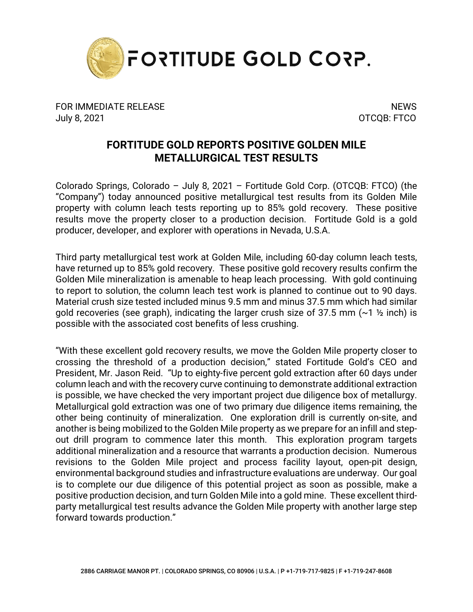

FOR IMMEDIATE RELEASE NEWS AND THE SERVICE OF STREET AND THE SERVICE OF STREET AND THE SERVICE OF STREET AND T July 8, 2021 OTCQB: FTCO

## **FORTITUDE GOLD REPORTS POSITIVE GOLDEN MILE METALLURGICAL TEST RESULTS**

Colorado Springs, Colorado – July 8, 2021 – Fortitude Gold Corp. (OTCQB: FTCO) (the "Company") today announced positive metallurgical test results from its Golden Mile property with column leach tests reporting up to 85% gold recovery. These positive results move the property closer to a production decision. Fortitude Gold is a gold producer, developer, and explorer with operations in Nevada, U.S.A.

Third party metallurgical test work at Golden Mile, including 60-day column leach tests, have returned up to 85% gold recovery. These positive gold recovery results confirm the Golden Mile mineralization is amenable to heap leach processing. With gold continuing to report to solution, the column leach test work is planned to continue out to 90 days. Material crush size tested included minus 9.5 mm and minus 37.5 mm which had similar gold recoveries (see graph), indicating the larger crush size of 37.5 mm  $(\sim 1 \frac{1}{2}$  inch) is possible with the associated cost benefits of less crushing.

"With these excellent gold recovery results, we move the Golden Mile property closer to crossing the threshold of a production decision," stated Fortitude Gold's CEO and President, Mr. Jason Reid. "Up to eighty-five percent gold extraction after 60 days under column leach and with the recovery curve continuing to demonstrate additional extraction is possible, we have checked the very important project due diligence box of metallurgy. Metallurgical gold extraction was one of two primary due diligence items remaining, the other being continuity of mineralization. One exploration drill is currently on-site, and another is being mobilized to the Golden Mile property as we prepare for an infill and stepout drill program to commence later this month. This exploration program targets additional mineralization and a resource that warrants a production decision. Numerous revisions to the Golden Mile project and process facility layout, open-pit design, environmental background studies and infrastructure evaluations are underway. Our goal is to complete our due diligence of this potential project as soon as possible, make a positive production decision, and turn Golden Mile into a gold mine. These excellent thirdparty metallurgical test results advance the Golden Mile property with another large step forward towards production."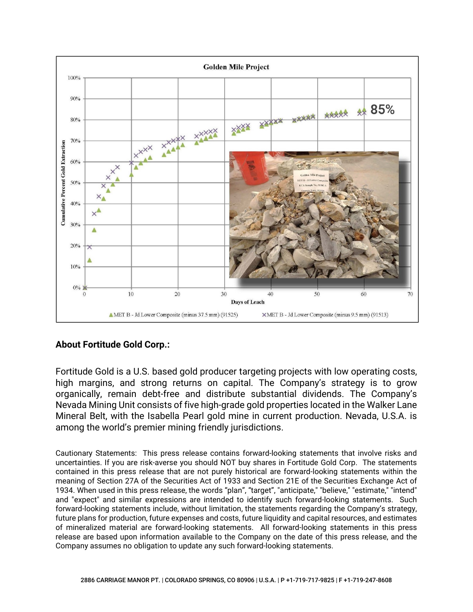

## **About Fortitude Gold Corp.:**

Fortitude Gold is a U.S. based gold producer targeting projects with low operating costs, high margins, and strong returns on capital. The Company's strategy is to grow organically, remain debt-free and distribute substantial dividends. The Company's Nevada Mining Unit consists of five high-grade gold properties located in the Walker Lane Mineral Belt, with the Isabella Pearl gold mine in current production. Nevada, U.S.A. is among the world's premier mining friendly jurisdictions.

Cautionary Statements: This press release contains forward-looking statements that involve risks and uncertainties. If you are risk-averse you should NOT buy shares in Fortitude Gold Corp. The statements contained in this press release that are not purely historical are forward-looking statements within the meaning of Section 27A of the Securities Act of 1933 and Section 21E of the Securities Exchange Act of 1934. When used in this press release, the words "plan", "target", "anticipate," "believe," "estimate," "intend" and "expect" and similar expressions are intended to identify such forward-looking statements. Such forward-looking statements include, without limitation, the statements regarding the Company's strategy, future plans for production, future expenses and costs, future liquidity and capital resources, and estimates of mineralized material are forward-looking statements. All forward-looking statements in this press release are based upon information available to the Company on the date of this press release, and the Company assumes no obligation to update any such forward-looking statements.